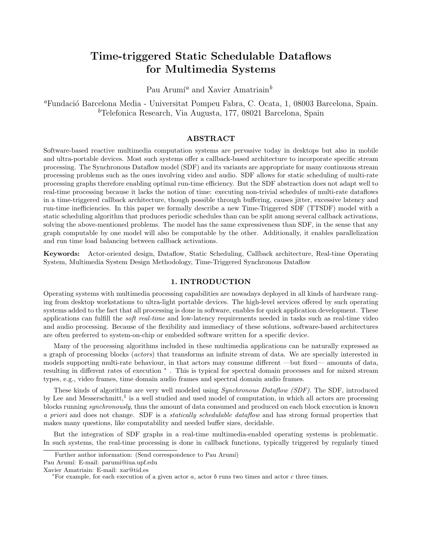# Time-triggered Static Schedulable Dataflows for Multimedia Systems

Pau Arumí<sup>a</sup> and Xavier Amatriain<sup>b</sup>

<sup>a</sup>Fundació Barcelona Media - Universitat Pompeu Fabra, C. Ocata, 1, 08003 Barcelona, Spain. <sup>b</sup>Telefonica Research, Via Augusta, 177, 08021 Barcelona, Spain

## ABSTRACT

Software-based reactive multimedia computation systems are pervasive today in desktops but also in mobile and ultra-portable devices. Most such systems offer a callback-based architecture to incorporate specific stream processing. The Synchronous Dataflow model (SDF) and its variants are appropriate for many continuous stream processing problems such as the ones involving video and audio. SDF allows for static scheduling of multi-rate processing graphs therefore enabling optimal run-time efficiency. But the SDF abstraction does not adapt well to real-time processing because it lacks the notion of time: executing non-trivial schedules of multi-rate dataflows in a time-triggered callback architecture, though possible through buffering, causes jitter, excessive latency and run-time inefficiencies. In this paper we formally describe a new Time-Triggered SDF (TTSDF) model with a static scheduling algorithm that produces periodic schedules than can be split among several callback activations, solving the above-mentioned problems. The model has the same expressiveness than SDF, in the sense that any graph computable by one model will also be computable by the other. Additionally, it enables parallelization and run time load balancing between callback activations.

Keywords: Actor-oriented design, Dataflow, Static Scheduling, Callback architecture, Real-time Operating System, Multimedia System Design Methodology, Time-Triggered Synchronous Dataflow

## 1. INTRODUCTION

Operating systems with multimedia processing capabilities are nowadays deployed in all kinds of hardware ranging from desktop workstations to ultra-light portable devices. The high-level services offered by such operating systems added to the fact that all processing is done in software, enables for quick application development. These applications can fulfill the *soft real-time* and low-latency requirements needed in tasks such as real-time video and audio processing. Because of the flexibility and immediacy of these solutions, software-based architectures are often preferred to system-on-chip or embedded software written for a specific device.

Many of the processing algorithms included in these multimedia applications can be naturally expressed as a graph of processing blocks (actors) that transforms an infinite stream of data. We are specially interested in models supporting multi-rate behaviour, in that actors may consume different —but fixed— amounts of data, resulting in different rates of execution <sup>∗</sup> . This is typical for spectral domain processes and for mixed stream types, e.g., video frames, time domain audio frames and spectral domain audio frames.

These kinds of algorithms are very well modeled using Synchronous Dataflow (SDF). The SDF, introduced by Lee and Messerschmitt,<sup>1</sup> is a well studied and used model of computation, in which all actors are processing blocks running synchronously, thus the amount of data consumed and produced on each block execution is known a priori and does not change. SDF is a statically schedulable dataflow and has strong formal properties that makes many questions, like computability and needed buffer sizes, decidable.

But the integration of SDF graphs in a real-time multimedia-enabled operating systems is problematic. In such systems, the real-time processing is done in callback functions, typically triggered by regularly timed

Further author information: (Send correspondence to Pau Arumí)

Pau Arumí: E-mail: parumi@iua.upf.edu

Xavier Amatriain: E-mail: xar@tid.es

<sup>\*</sup>For example, for each execution of a given actor  $a$ , actor  $b$  runs two times and actor  $c$  three times.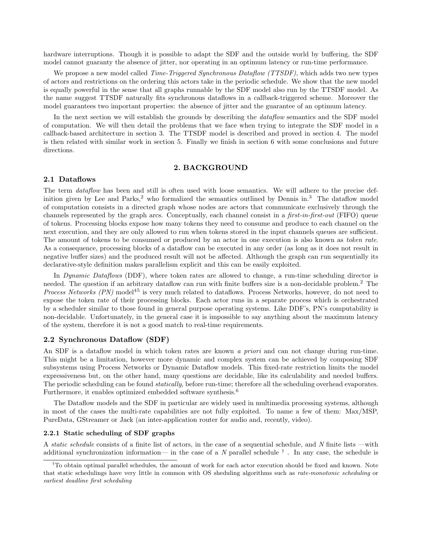hardware interruptions. Though it is possible to adapt the SDF and the outside world by buffering, the SDF model cannot guaranty the absence of jitter, nor operating in an optimum latency or run-time performance.

We propose a new model called Time-Triggered Synchronous Dataflow (TTSDF), which adds two new types of actors and restrictions on the ordering this actors take in the periodic schedule. We show that the new model is equally powerful in the sense that all graphs runnable by the SDF model also run by the TTSDF model. As the name suggest TTSDF naturally fits synchronous dataflows in a callback-triggered scheme. Moreover the model guarantees two important properties: the absence of jitter and the guarantee of an optimum latency.

In the next section we will establish the grounds by describing the *dataflow* semantics and the SDF model of computation. We will then detail the problems that we face when trying to integrate the SDF model in a callback-based architecture in section 3. The TTSDF model is described and proved in section 4. The model is then related with similar work in section 5. Finally we finish in section 6 with some conclusions and future directions.

## 2. BACKGROUND

#### 2.1 Dataflows

The term *dataflow* has been and still is often used with loose semantics. We will adhere to the precise definition given by Lee and Parks,<sup>2</sup> who formalized the semantics outlined by Dennis in.<sup>3</sup> The dataflow model of computation consists in a directed graph whose nodes are actors that communicate exclusively through the channels represented by the graph arcs. Conceptually, each channel consist in a *first-in-first-out* (FIFO) queue of tokens. Processing blocks expose how many tokens they need to consume and produce to each channel on the next execution, and they are only allowed to run when tokens stored in the input channels queues are sufficient. The amount of tokens to be consumed or produced by an actor in one execution is also known as *token rate*. As a consequence, processing blocks of a dataflow can be executed in any order (as long as it does not result in negative buffer sizes) and the produced result will not be affected. Although the graph can run sequentially its declarative-style definition makes parallelism explicit and this can be easily exploited.

In *Dynamic Dataflows* (DDF), where token rates are allowed to change, a run-time scheduling director is needed. The question if an arbitrary dataflow can run with finite buffers size is a non-decidable problem.<sup>2</sup> The Process Networks (PN) model<sup>45</sup> is very much related to dataflows. Process Networks, however, do not need to expose the token rate of their processing blocks. Each actor runs in a separate process which is orchestrated by a scheduler similar to those found in general purpose operating systems. Like DDF's, PN's computability is non-decidable. Unfortunately, in the general case it is impossible to say anything about the maximum latency of the system, therefore it is not a good match to real-time requirements.

# 2.2 Synchronous Dataflow (SDF)

An SDF is a dataflow model in which token rates are known a priori and can not change during run-time. This might be a limitation, however more dynamic and complex system can be achieved by composing SDF subsystems using Process Networks or Dynamic Dataflow models. This fixed-rate restriction limits the model expressiveness but, on the other hand, many questions are decidable, like its calculability and needed buffers. The periodic scheduling can be found *statically*, before run-time; therefore all the scheduling overhead evaporates. Furthermore, it enables optimized embedded software synthesis.<sup>6</sup>

The Dataflow models and the SDF in particular are widely used in multimedia processing systems, although in most of the cases the multi-rate capabilities are not fully exploited. To name a few of them: Max/MSP, PureData, GStreamer or Jack (an inter-application router for audio and, recently, video).

#### 2.2.1 Static scheduling of SDF graphs

A *static schedule* consists of a finite list of actors, in the case of a sequential schedule, and N finite lists —with additional synchronization information— in the case of a N parallel schedule  $^{\dagger}$ . In any case, the schedule is

 $^{\dagger}$ To obtain optimal parallel schedules, the amount of work for each actor execution should be fixed and known. Note that static schedulings have very little in common with OS sheduling algorithms such as *rate-monotonic scheduling* or earliest deadline first scheduling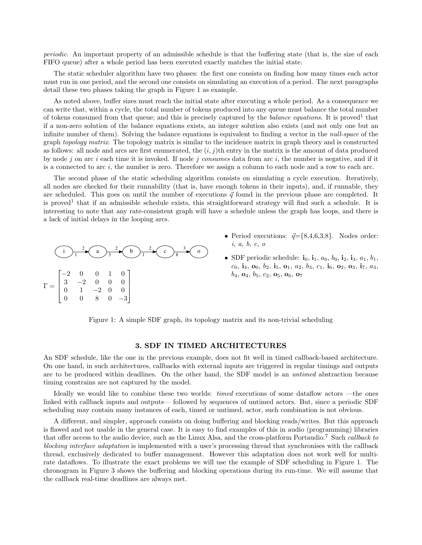periodic. An important property of an admissible schedule is that the buffering state (that is, the size of each FIFO queue) after a whole period has been executed exactly matches the initial state.

The static scheduler algorithm have two phases: the first one consists on finding how many times each actor must run in one period, and the second one consists on simulating an execution of a period. The next paragraphs detail these two phases taking the graph in Figure 1 as example.

As noted above, buffer sizes must reach the initial state after executing a whole period. As a consequence we can write that, within a cycle, the total number of tokens produced into any queue must balance the total number of tokens consumed from that queue; and this is precisely captured by the *balance equations*. It is proved<sup>1</sup> that if a non-zero solution of the balance equations exists, an integer solution also exists (and not only one but an infinite number of them). Solving the balance equations is equivalent to finding a vector in the null-space of the graph topology matrix. The topology matrix is similar to the incidence matrix in graph theory and is constructed as follows: all node and arcs are first enumerated, the  $(i, j)$ th entry in the matrix is the amount of data produced by node j on arc i each time it is invoked. If node j consumes data from arc i, the number is negative, and if it is a connected to arc  $i$ , the number is zero. Therefore we assign a column to each node and a row to each arc.

The second phase of the static scheduling algorithm consists on simulating a cycle execution. Iteratively, all nodes are checked for their runnability (that is, have enough tokens in their inputs), and, if runnable, they are scheduled. This goes on until the number of executions  $\vec{q}$  found in the previous phase are completed. It is proved<sup>1</sup> that if an admissible schedule exists, this straightforward strategy will find such a schedule. It is interesting to note that any rate-consistent graph will have a schedule unless the graph has loops, and there is a lack of initial delays in the looping arcs.



- Period executions:  $\vec{q} = \{8, 4, 6, 3, 8\}$ . Nodes order: i, a, b, c, o
- SDF periodic schedule:  $\mathbf{i}_0$ ,  $\mathbf{i}_1$ ,  $a_0$ ,  $b_0$ ,  $\mathbf{i}_2$ ,  $\mathbf{i}_3$ ,  $a_1$ ,  $b_1$ ,  $c_0$ ,  $i_4$ ,  $o_0$ ,  $b_2$ ,  $i_5$ ,  $o_1$ ,  $a_2$ ,  $b_3$ ,  $c_1$ ,  $i_6$ ,  $o_2$ ,  $o_3$ ,  $i_7$ ,  $a_3$ ,  $b_4$ ,  $\mathbf{o}_4$ ,  $b_5$ ,  $c_2$ ,  $\mathbf{o}_5$ ,  $\mathbf{o}_6$ ,  $\mathbf{o}_7$

Figure 1: A simple SDF graph, its topology matrix and its non-trivial scheduling

## 3. SDF IN TIMED ARCHITECTURES

An SDF schedule, like the one in the previous example, does not fit well in timed callback-based architecture. On one hand, in such architectures, callbacks with external inputs are triggered in regular timings and outputs are to be produced within deadlines. On the other hand, the SDF model is an untimed abstraction because timing constrains are not captured by the model.

Ideally we would like to combine these two worlds: timed executions of some dataflow actors —the ones linked with callback inputs and outputs— followed by sequences of untimed actors. But, since a periodic SDF scheduling may contain many instances of each, timed or untimed, actor, such combination is not obvious.

A different, and simpler, approach consists on doing buffering and blocking reads/writes. But this approach is flawed and not usable in the general case. It is easy to find examples of this in audio (programming) libraries that offer access to the audio device, such as the Linux Alsa, and the cross-platform Portaudio.<sup>7</sup> Such *callback to* blocking interface adaptation is implemented with a user's processing thread that synchronises with the callback thread, exclusively dedicated to buffer management. However this adaptation does not work well for multirate dataflows. To illustrate the exact problems we will use the example of SDF scheduling in Figure 1. The chronogram in Figure 3 shows the buffering and blocking operations during its run-time. We will assume that the callback real-time deadlines are always met.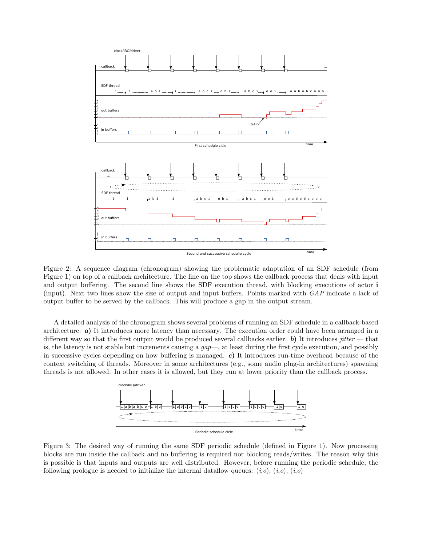

Figure 2: A sequence diagram (chronogram) showing the problematic adaptation of an SDF schedule (from Figure 1) on top of a callback architecture. The line on the top shows the callback process that deals with input and output buffering. The second line shows the SDF execution thread, with blocking executions of actor i (input). Next two lines show the size of output and input buffers. Points marked with GAP indicate a lack of output buffer to be served by the callback. This will produce a gap in the output stream.

A detailed analysis of the chronogram shows several problems of running an SDF schedule in a callback-based architecture: a) It introduces more latency than necessary. The execution order could have been arranged in a different way so that the first output would be produced several callbacks earlier. b) It introduces *jitter* — that is, the latency is not stable but increments causing a  $gap-$ , at least during the first cycle execution, and possibly in successive cycles depending on how buffering is managed.  $c$ ) It introduces run-time overhead because of the context switching of threads. Moreover in some architectures (e.g., some audio plug-in architectures) spawning threads is not allowed. In other cases it is allowed, but they run at lower priority than the callback process.



Figure 3: The desired way of running the same SDF periodic schedule (defined in Figure 1). Now processing blocks are run inside the callback and no buffering is required nor blocking reads/writes. The reason why this is possible is that inputs and outputs are well distributed. However, before running the periodic schedule, the following prologue is needed to initialize the internal dataflow queues:  $(i, o)$ ,  $(i, o)$ ,  $(i, o)$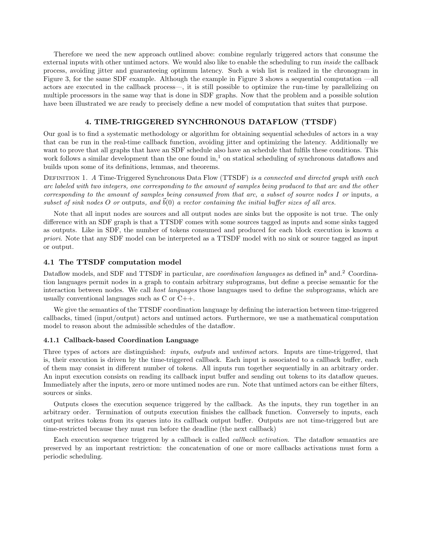Therefore we need the new approach outlined above: combine regularly triggered actors that consume the external inputs with other untimed actors. We would also like to enable the scheduling to run *inside* the callback process, avoiding jitter and guaranteeing optimum latency. Such a wish list is realized in the chronogram in Figure 3, for the same SDF example. Although the example in Figure 3 shows a sequential computation —all actors are executed in the callback process—, it is still possible to optimize the run-time by parallelizing on multiple processors in the same way that is done in SDF graphs. Now that the problem and a possible solution have been illustrated we are ready to precisely define a new model of computation that suites that purpose.

## 4. TIME-TRIGGERED SYNCHRONOUS DATAFLOW (TTSDF)

Our goal is to find a systematic methodology or algorithm for obtaining sequential schedules of actors in a way that can be run in the real-time callback function, avoiding jitter and optimizing the latency. Additionally we want to prove that all graphs that have an SDF schedule also have an schedule that fulfils these conditions. This work follows a similar development than the one found  $\text{in},^1$  on statical scheduling of synchronous dataflows and builds upon some of its definitions, lemmas, and theorems.

DEFINITION 1. A Time-Triggered Synchronous Data Flow (TTSDF) is a connected and directed graph with each arc labeled with two integers, one corresponding to the amount of samples being produced to that arc and the other corresponding to the amount of samples being consumed from that arc, a subset of source nodes I or inputs, a subset of sink nodes O or outputs, and  $b(0)$  a vector containing the initial buffer sizes of all arcs.

Note that all input nodes are sources and all output nodes are sinks but the opposite is not true. The only difference with an SDF graph is that a TTSDF comes with some sources tagged as inputs and some sinks tagged as outputs. Like in SDF, the number of tokens consumed and produced for each block execution is known a priori. Note that any SDF model can be interpreted as a TTSDF model with no sink or source tagged as input or output.

### 4.1 The TTSDF computation model

Dataflow models, and SDF and TTSDF in particular, are *coordination languages* as defined in<sup>8</sup> and.<sup>2</sup> Coordination languages permit nodes in a graph to contain arbitrary subprograms, but define a precise semantic for the interaction between nodes. We call *host languages* those languages used to define the subprograms, which are usually conventional languages such as C or C++.

We give the semantics of the TTSDF coordination language by defining the interaction between time-triggered callbacks, timed (input/output) actors and untimed actors. Furthermore, we use a mathematical computation model to reason about the admissible schedules of the dataflow.

# 4.1.1 Callback-based Coordination Language

Three types of actors are distinguished: inputs, outputs and untimed actors. Inputs are time-triggered, that is, their execution is driven by the time-triggered callback. Each input is associated to a callback buffer, each of them may consist in different number of tokens. All inputs run together sequentially in an arbitrary order. An input execution consists on reading its callback input buffer and sending out tokens to its dataflow queues. Immediately after the inputs, zero or more untimed nodes are run. Note that untimed actors can be either filters, sources or sinks.

Outputs closes the execution sequence triggered by the callback. As the inputs, they run together in an arbitrary order. Termination of outputs execution finishes the callback function. Conversely to inputs, each output writes tokens from its queues into its callback output buffer. Outputs are not time-triggered but are time-restricted because they must run before the deadline (the next callback)

Each execution sequence triggered by a callback is called callback activation. The dataflow semantics are preserved by an important restriction: the concatenation of one or more callbacks activations must form a periodic scheduling.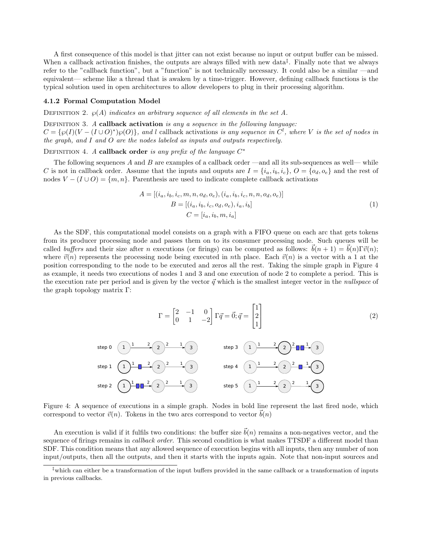A first consequence of this model is that jitter can not exist because no input or output buffer can be missed. When a callback activation finishes, the outputs are always filled with new data<sup>‡</sup>. Finally note that we always refer to the "callback function", but a "function" is not technically necessary. It could also be a similar —and equivalent— scheme like a thread that is awaken by a time-trigger. However, defining callback functions is the typical solution used in open architectures to allow developers to plug in their processing algorithm.

#### 4.1.2 Formal Computation Model

DEFINITION 2.  $\wp(A)$  indicates an arbitrary sequence of all elements in the set A.

DEFINITION 3. A callback activation is any a sequence in the following language:  $C = \{\wp(I)(V - (I \cup O)^*)\wp(O)\}\$ , and l callback activations is any sequence in  $C^l$ , where V is the set of nodes in the graph, and I and O are the nodes labeled as inputs and outputs respectively.

DEFINITION 4. A callback order is any prefix of the language  $C^*$ 

The following sequences  $A$  and  $B$  are examples of a callback order —and all its sub-sequences as well— while C is not in callback order. Assume that the inputs and ouputs are  $I = \{i_a, i_b, i_c\}$ ,  $O = \{o_d, o_e\}$  and the rest of nodes  $V - (I \cup O) = \{m, n\}$ . Parenthesis are used to indicate complete callback activations

$$
A = [(i_a, i_b, i_c, m, n, o_d, o_e), (i_a, i_b, i_c, n, n, o_d, o_e)]
$$
  
\n
$$
B = [(i_a, i_b, i_c, o_d, o_e), i_a, i_b]
$$
  
\n
$$
C = [i_a, i_b, m, i_a]
$$
\n(1)

As the SDF, this computational model consists on a graph with a FIFO queue on each arc that gets tokens from its producer processing node and passes them on to its consumer processing node. Such queues will be called buffers and their size after n executions (or firings) can be computed as follows:  $\vec{b}(n + 1) = \vec{b}(n)\Gamma \vec{v}(n);$ where  $\vec{v}(n)$  represents the processing node being executed in nth place. Each  $\vec{v}(n)$  is a vector with a 1 at the position corresponding to the node to be executed and zeros all the rest. Taking the simple graph in Figure 4 as example, it needs two executions of nodes 1 and 3 and one execution of node 2 to complete a period. This is the execution rate per period and is given by the vector  $\vec{q}$  which is the smallest integer vector in the *nullspace* of the graph topology matrix Γ:

$$
\Gamma = \begin{bmatrix} 2 & -1 & 0 \\ 0 & 1 & -2 \end{bmatrix} \Gamma \vec{q} = \vec{0}; \vec{q} = \begin{bmatrix} 1 \\ 2 \\ 1 \end{bmatrix}
$$
\n(2)



Figure 4: A sequence of executions in a simple graph. Nodes in bold line represent the last fired node, which correspond to vector  $\vec{v}(n)$ . Tokens in the two arcs correspond to vector  $\vec{b}(n)$ 

An execution is valid if it fulfils two conditions: the buffer size  $\vec{b}(n)$  remains a non-negatives vector, and the sequence of firings remains in *callback order*. This second condition is what makes TTSDF a different model than SDF. This condition means that any allowed sequence of execution begins with all inputs, then any number of non input/outputs, then all the outputs, and then it starts with the inputs again. Note that non-input sources and

<sup>‡</sup>which can either be a transformation of the input buffers provided in the same callback or a transformation of inputs in previous callbacks.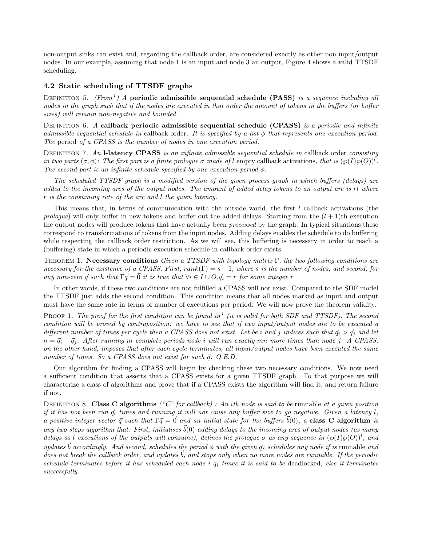non-output sinks can exist and, regarding the callback order, are considered exactly as other non input/output nodes. In our example, assuming that node 1 is an input and node 3 an output, Figure 4 shows a valid TTSDF scheduling.

## 4.2 Static scheduling of TTSDF graphs

DEFINITION 5. (From<sup>1</sup>) A periodic admissible sequential schedule (PASS) is a sequence including all nodes in the graph such that if the nodes are executed in that order the amount of tokens in the buffers (or buffer sizes) will remain non-negative and bounded.

DEFINITION 6. A callback periodic admissible sequential schedule (CPASS) is a periodic and infinite admissible sequential schedule in callback order. It is specified by a list  $\phi$  that represents one execution period. The period of a CPASS is the number of nodes in one execution period.

DEFINITION 7. An **l-latency CPASS** is an infinite admissible sequential schedule in callback order consisting in two parts  $(\sigma, \phi)$ : The first part is a finite prologue  $\sigma$  made of l empty callback activations, that is  $(\wp(I)\wp(O))^l$ . The second part is an infinite schedule specified by one execution period  $\phi$ .

The scheduled TTSDF graph is a modified version of the given process graph in which buffers (delays) are added to the incoming arcs of the output nodes. The amount of added delay tokens to an output arc is rl where r is the consuming rate of the arc and l the given latency.

This means that, in terms of communication with the outside world, the first  $l$  callback activations (the prologue) will only buffer in new tokens and buffer out the added delays. Starting from the  $(l+1)$ th execution the output nodes will produce tokens that have actually been *processed* by the graph. In typical situations these correspond to transformations of tokens from the input nodes. Adding delays enables the schedule to do buffering while respecting the callback order restriction. As we will see, this buffering is necessary in order to reach a (buffering) state in which a periodic execution schedule in callback order exists.

THEOREM 1. Necessary conditions Given a TTSDF with topology matrix Γ, the two following conditions are necessary for the existence of a CPASS: First,  $rank(\Gamma) = s - 1$ , where s is the number of nodes; and second, for any non-zero  $\vec{q}$  such that  $\Gamma \vec{q} = \vec{0}$  it is true that  $\forall i \in I \cup O, \vec{q_i} = r$  for some integer r

In other words, if these two conditions are not fulfilled a CPASS will not exist. Compared to the SDF model the TTSDF just adds the second condition. This condition means that all nodes marked as input and output must have the same rate in terms of number of executions per period. We will now prove the theorem validity.

**PROOF 1.** The proof for the first condition can be found in<sup>1</sup> (it is valid for both SDF and TTSDF). The second condition will be proved by contraposition: we have to see that if two input/output nodes are to be executed a different number of times per cycle then a CPASS does not exist. Let be i and j indices such that  $\vec{q}_i > \vec{q}_j$  and let  $n = \vec{q}_i - \vec{q}_j$ . After running m complete periods node i will run exactly mn more times than node j. A CPASS, on the other hand, imposes that after each cycle terminates, all input/output nodes have been executed the same number of times. So a CPASS does not exist for such  $\vec{q}$ . Q.E.D.

Our algorithm for finding a CPASS will begin by checking these two necessary conditions. We now need a sufficient condition that asserts that a CPASS exists for a given TTSDF graph. To that purpose we will characterize a class of algorithms and prove that if a CPASS exists the algorithm will find it, and return failure if not.

DEFINITION 8. Class C algorithms ("C" for callback) : An ith node is said to be runnable at a given position if it has not been run  $\vec{q}_i$  times and running it will not cause any buffer size to go negative. Given a latency l, a positive integer vector  $\vec{q}$  such that  $\Gamma \vec{q} = \vec{0}$  and an initial state for the buffers  $\vec{b}(0)$ , a class C algorithm is any two steps algorithm that: First, initialises  $\vec{b}(0)$  adding delays to the incoming arcs of output nodes (as many delays as l executions of the outputs will consume), defines the prologue  $\sigma$  as any sequence in  $(\wp(I)\wp(O))^l$ , and updates  $\bar{b}$  accordingly. And second, schedules the period  $\phi$  with the given  $\vec{q}$ : schedules any node if is runnable and does not break the callback order, and updates  $\vec{b}$ , and stops only when no more nodes are runnable. If the periodic schedule terminates before it has scheduled each node  $i$   $q_i$  times it is said to be deadlocked, else it terminates successfully.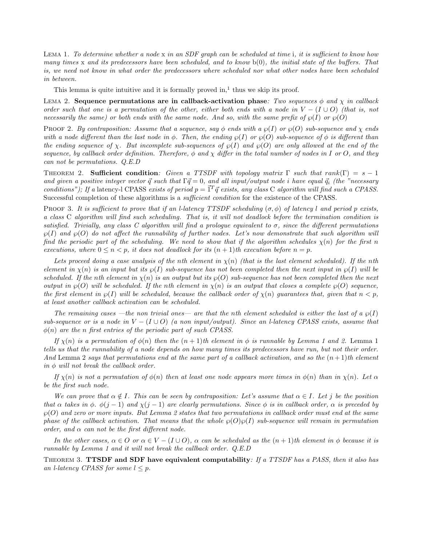LEMA 1. To determine whether a node x in an SDF graph can be scheduled at time i, it is sufficient to know how many times x and its predecessors have been scheduled, and to know b(0), the initial state of the buffers. That is, we need not know in what order the predecessors where scheduled nor what other nodes have been scheduled in between.

This lemma is quite intuitive and it is formally proved in,<sup>1</sup> thus we skip its proof.

LEMA 2. Sequence permutations are in callback-activation phase: Two sequences  $\phi$  and  $\chi$  in callback order such that one is a permutation of the other, either both ends with a node in  $V - (I \cup O)$  (that is, not necessarily the same) or both ends with the same node. And so, with the same prefix of  $\wp(I)$  or  $\wp(O)$ 

PROOF 2. By contraposition: Assume that a sequence, say  $\phi$  ends with a  $\wp(I)$  or  $\wp(O)$  sub-sequence and  $\chi$  ends with a node different than the last node in  $\phi$ . Then, the ending  $\wp(I)$  or  $\wp(O)$  sub-sequence of  $\phi$  is different than the ending sequence of x. But incomplete sub-sequences of  $\wp(I)$  and  $\wp(O)$  are only allowed at the end of the sequence, by callback order definition. Therefore,  $\phi$  and  $\chi$  differ in the total number of nodes in I or O, and they can not be permutations. Q.E.D

THEOREM 2. Sufficient condition: Given a TTSDF with topology matrix  $\Gamma$  such that rank( $\Gamma$ ) = s - 1 and given a positive integer vector  $\vec{q}$  such that  $\Gamma \vec{q} = 0$ , and all input/output node i have equal  $\vec{q}_i$  (the "necessary conditions"); If a latency-l CPASS exists of period  $p = \vec{1}^T \vec{q}$  exists, any class C algorithm will find such a CPASS. Successful completion of these algorithms is a *sufficient condition* for the existence of the CPASS.

PROOF 3. It is sufficient to prove that if an l-latency TTSDF scheduling  $(\sigma, \phi)$  of latency l and period p exists, a class C algorithm will find such scheduling. That is, it will not deadlock before the termination condition is satisfied. Trivially, any class C algorithm will find a prologue equivalent to  $\sigma$ , since the different permutations  $\wp(I)$  and  $\wp(O)$  do not affect the runnability of further nodes. Let's now demonstrate that such algorithm will find the periodic part of the scheduling. We need to show that if the algorithm schedules  $\chi(n)$  for the first n executions, where  $0 \leq n \leq p$ , it does not deadlock for its  $(n+1)$ th execution before  $n = p$ .

Lets proceed doing a case analysis of the nth element in  $\chi(n)$  (that is the last element scheduled). If the nth element in  $\chi(n)$  is an input but its  $\varphi(I)$  sub-sequence has not been completed then the next input in  $\varphi(I)$  will be scheduled. If the nth element in  $\chi(n)$  is an output but its  $\varphi(0)$  sub-sequence has not been completed then the next output in  $\wp(O)$  will be scheduled. If the nth element in  $\chi(n)$  is an output that closes a complete  $\wp(O)$  sequence, the first element in  $\wp(I)$  will be scheduled, because the callback order of  $\chi(n)$  guarantees that, given that  $n < p$ , at least another callback activation can be scheduled.

The remaining cases —the non trivial ones— are that the nth element scheduled is either the last of a  $\wp(I)$ sub-sequence or is a node in  $V - (I \cup O)$  (a non input/output). Since an l-latency CPASS exists, assume that  $\phi(n)$  are the n first entries of the periodic part of such CPASS.

If  $\chi(n)$  is a permutation of  $\phi(n)$  then the  $(n+1)$ th element in  $\phi$  is runnable by Lemma 1 and 2. Lemma 1 tells us that the runnability of a node depends on how many times its predecessors have run, but not their order. And Lemma 2 says that permutations end at the same part of a callback activation, and so the  $(n+1)$ th element in  $\phi$  will not break the callback order.

If  $\chi(n)$  is not a permutation of  $\phi(n)$  then at least one node appears more times in  $\phi(n)$  than in  $\chi(n)$ . Let  $\alpha$ be the first such node.

We can prove that  $\alpha \notin I$ . This can be seen by contraposition: Let's assume that  $\alpha \in I$ . Let j be the position that  $\alpha$  takes in  $\phi$ .  $\phi(j-1)$  and  $\chi(j-1)$  are clearly permutations. Since  $\phi$  is in callback order,  $\alpha$  is preceded by  $\wp(O)$  and zero or more inputs. But Lemma 2 states that two permutations in callback order must end at the same phase of the callback activation. That means that the whole  $\wp(O)\wp(I)$  sub-sequence will remain in permutation order, and  $\alpha$  can not be the first different node.

In the other cases,  $\alpha \in O$  or  $\alpha \in V - (I \cup O)$ ,  $\alpha$  can be scheduled as the  $(n + 1)$ th element in  $\phi$  because it is runnable by Lemma 1 and it will not break the callback order. Q.E.D

THEOREM 3. TTSDF and SDF have equivalent computability: If a TTSDF has a PASS, then it also has an l-latency CPASS for some  $l \leq p$ .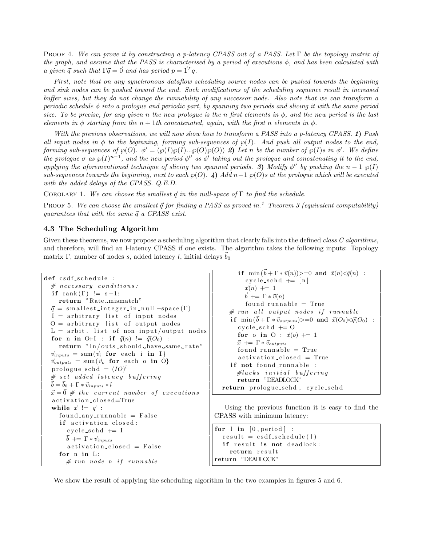Proof 4. We can prove it by constructing a p-latency CPASS out of a PASS. Let Γ be the topology matrix of the graph, and assume that the PASS is characterised by a period of executions  $\phi$ , and has been calculated with a given  $\vec{q}$  such that  $\Gamma \vec{q} = \vec{0}$  and has period  $p = \vec{1}^T q$ .

First, note that on any synchronous dataflow scheduling source nodes can be pushed towards the beginning and sink nodes can be pushed toward the end. Such modifications of the scheduling sequence result in increased buffer sizes, but they do not change the runnability of any successor node. Also note that we can transform a periodic schedule  $\phi$  into a prologue and periodic part, by spanning two periods and slicing it with the same period size. To be precise, for any given n the new prologue is the n first elements in  $\phi$ , and the new period is the last elements in  $\phi$  starting from the  $n + 1$ th concatenated, again, with the first n elements in  $\phi$ .

With the previous observations, we will now show how to transform a PASS into a p-latency CPASS. 1) Push all input nodes in  $\phi$  to the beginning, forming sub-sequences of  $\wp(I)$ . And push all output nodes to the end, forming sub-sequences of  $\wp(O)$ .  $\phi' = (\wp(I)\wp(I)... \wp(O)\wp(O))$  2) Let n be the number of  $\wp(I)s$  in  $\phi'$ . We define the prologue  $\sigma$  as  $\wp(I)^{n-1}$ , and the new period  $\phi''$  as  $\phi'$  taking out the prologue and concatenating it to the end, applying the aforementioned technique of slicing two spanned periods. 3) Modify  $\phi''$  by pushing the  $n-1 \varphi(I)$ sub-sequences towards the beginning, next to each  $\wp(0)$ . 4) Add n – 1  $\wp(0)$ s at the prologue which will be executed with the added delays of the CPASS. Q.E.D.

COROLARY 1. We can choose the smallest  $\vec{q}$  in the null-space of  $\Gamma$  to find the schedule.

**PROOF 5.** We can choose the smallest  $\vec{q}$  for finding a PASS as proved in.<sup>1</sup> Theorem 3 (equivalent computability) quarantees that with the same  $\vec{q}$  a CPASS exist.

#### 4.3 The Scheduling Algorithm

Given these theorems, we now propose a scheduling algorithm that clearly falls into the defined class C algorithms, and therefore, will find an l-latency CPASS if one exists. The algorithm takes the following inputs: Topology matrix Γ, number of nodes s, added latency l, initial delays  $b_0$ 

```
def csdf_schedule :
  # necessary conditions:if rank (\Gamma) := s - 1:
     return "Rate_mismatch"
  \vec{q} = smallest_integer_in_null –space (\Gamma)I = arbitrary list of input nodes
  O = arbitrary list of output nodes
  L = arbit. list of non input/output nodes
  for n in O+I : if \vec{q}(n) := \vec{q}(O_0) :
     return "In/outs\_should\_have\_same\_rate"\vec{v}_{inputs} = \text{sum}(\vec{v}_i \text{ for each i in } I)\vec{v}_{outputs} = \text{sum}(\vec{v}_o \text{ for each } o \text{ in } O)prologue_schd = (IO)^l# set added latency buffering
  \vec{b} = \vec{b}_0 + \Gamma * \vec{v}_{inputs} * l\vec{x} = \vec{0} \# the current number of executions
  activation_closed=True
  while \vec{x} != \vec{q} :
     found_{\text{any\_runnable}} = Falseif activation_closed:
        cycle\_schd + = I\vec{b} + \Gamma * \vec{v}_{inputs}\text{activation\_closed} = \text{False}for n in L:
        # run node n if run nable
```

```
if \min(\vec{b} + \Gamma * \vec{v}(n))>=0 and \vec{x}(n)<\vec{q}(n):
         \text{cycle\_schd} \leftarrow [n]\vec{x}(n) \neq 1\vec{b} + \Gamma * \vec{v}(n)found\_runnable = True# run all output nodes if run nableif \min(\vec{b} + \Gamma * \vec{v}_{outputs})> = 0 and \vec{x}(O_0) < \vec{q}(O_0):
     cycle\_schd \t+= 0for o in O : \vec{x}(o) \neq 1\vec{x} \equiv \Gamma * \vec{v}_{outputs}found\_runnable = True\text{activation\_closed} = \text{True}if not found_runnable :
     #lacks in itial buffering
     return "DEADLOCK"
return prologue_schd, cycle_schd
```
Using the previous function it is easy to find the CPASS with minimum latency:

```
for l in [0, period]:
  result = csdf_schedule(1)if result is not deadlock:
    return result
return "DEADLOCK"
```
We show the result of applying the scheduling algorithm in the two examples in figures 5 and 6.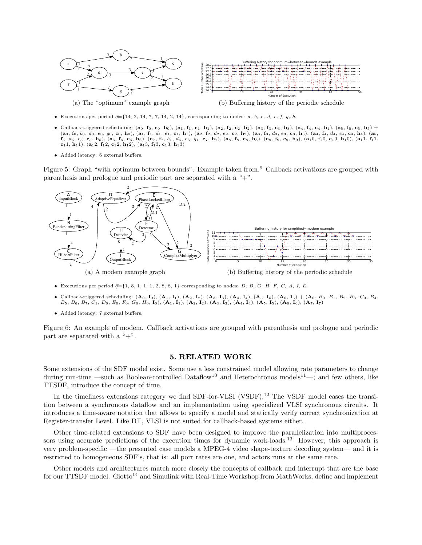

- Executions per period  $\vec{q} = \{14, 2, 14, 7, 7, 14, 2, 14\}$ , corresponding to nodes: *a, b, c, d, e, f, g, h.*
- Callback-triggered scheduling: (a<sub>0</sub>, f<sub>0</sub>, c<sub>0</sub>, h<sub>0</sub>), (a<sub>1</sub>, f<sub>1</sub>, c<sub>1</sub>, h<sub>1</sub>), (a<sub>2</sub>, f<sub>2</sub>, c<sub>2</sub>, h<sub>2</sub>), (a<sub>3</sub>, f<sub>3</sub>, c<sub>3</sub>, h<sub>3</sub>), (a<sub>4</sub>, f<sub>4</sub>, c<sub>4</sub>, h<sub>4</sub>), (a<sub>5</sub>, f<sub>5</sub>, c<sub>5</sub>, h<sub>5</sub>) + (a<sub>0</sub>, f<sub>0</sub>, *b*<sub>0</sub>, *d*<sub>0</sub>, e<sub></sub>
- Added latency: 6 external buffers.

Figure 5: Graph "with optimum between bounds". Example taken from.<sup>9</sup> Callback activations are grouped with parenthesis and prologue and periodic part are separated with a  $4 +$ ".



- Executions per period  $\vec{q} = \{1, 8, 1, 1, 1, 2, 8, 8, 1\}$  corresponding to nodes: D, B, G, H, F, C, A, I, E.
- Callback-triggered scheduling:  $(A_0, I_0)$ ,  $(A_1, I_1)$ ,  $(A_2, I_2)$ ,  $(A_3, I_3)$ ,  $(A_4, I_4)$ ,  $(A_5, I_5)$ ,  $(A_6, I_6) + (A_0, B_0, B_1, B_2, B_3, C_0, B_4, D_5)$  $B_5, B_6, B_7, C_1, D_0, E_0, F_0, G_0, H_0, I_0), (A_1, I_1), (A_2, I_2), (A_3, I_3), (A_4, I_4), (A_5, I_5), (A_6, I_6), (A_7, I_7)$
- Added latency: 7 external buffers.

Figure 6: An example of modem. Callback activations are grouped with parenthesis and prologue and periodic part are separated with a " $+$ ".

#### 5. RELATED WORK

Some extensions of the SDF model exist. Some use a less constrained model allowing rate parameters to change during run-time —such as Boolean-controlled Dataflow<sup>10</sup> and Heterochronos models<sup>11</sup>—; and few others, like TTSDF, introduce the concept of time.

In the timeliness extensions category we find SDF-for-VLSI (VSDF).<sup>12</sup> The VSDF model eases the transition between a synchronous dataflow and an implementation using specialized VLSI synchronous circuits. It introduces a time-aware notation that allows to specify a model and statically verify correct synchronization at Register-transfer Level. Like DT, VLSI is not suited for callback-based systems either.

Other time-related extensions to SDF have been designed to improve the parallelization into multiprocessors using accurate predictions of the execution times for dynamic work-loads.<sup>13</sup> However, this approach is very problem-specific —the presented case models a MPEG-4 video shape-texture decoding system— and it is restricted to homogeneous SDF's, that is: all port rates are one, and actors runs at the same rate.

Other models and architectures match more closely the concepts of callback and interrupt that are the base for our TTSDF model. Giotto<sup>14</sup> and Simulink with Real-Time Workshop from MathWorks, define and implement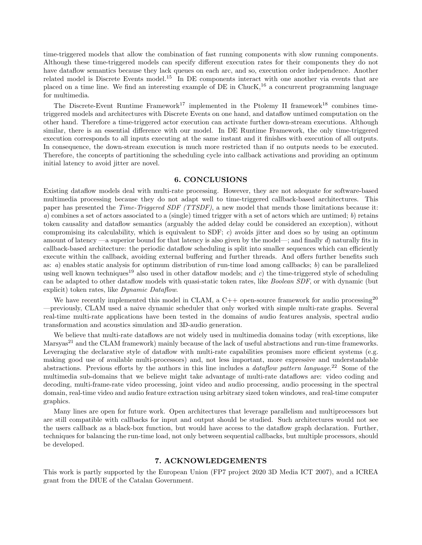time-triggered models that allow the combination of fast running components with slow running components. Although these time-triggered models can specify different execution rates for their components they do not have dataflow semantics because they lack queues on each arc, and so, execution order independence. Another related model is Discrete Events model.<sup>15</sup> In DE components interact with one another via events that are placed on a time line. We find an interesting example of  $DE$  in ChucK,<sup>16</sup> a concurrent programming language for multimedia.

The Discrete-Event Runtime Framework<sup>17</sup> implemented in the Ptolemy II framework<sup>18</sup> combines timetriggered models and architectures with Discrete Events on one hand, and dataflow untimed computation on the other hand. Therefore a time-triggered actor execution can activate further down-stream executions. Although similar, there is an essential difference with our model. In DE Runtime Framework, the only time-triggered execution corresponds to all inputs executing at the same instant and it finishes with execution of all outputs. In consequence, the down-stream execution is much more restricted than if no outputs needs to be executed. Therefore, the concepts of partitioning the scheduling cycle into callback activations and providing an optimum initial latency to avoid jitter are novel.

#### 6. CONCLUSIONS

Existing dataflow models deal with multi-rate processing. However, they are not adequate for software-based multimedia processing because they do not adapt well to time-triggered callback-based architectures. This paper has presented the Time-Triggered SDF (TTSDF), a new model that mends those limitations because it: a) combines a set of actors associated to a (single) timed trigger with a set of actors which are untimed; b) retains token causality and dataflow semantics (arguably the added delay could be considered an exception), without compromising its calculability, which is equivalent to SDF; c) avoids jitter and does so by using an optimum amount of latency —a superior bound for that latency is also given by the model—; and finally  $d$ ) naturally fits in callback-based architecture: the periodic dataflow scheduling is split into smaller sequences which can efficiently execute within the callback, avoiding external buffering and further threads. And offers further benefits such as: a) enables static analysis for optimum distribution of run-time load among callbacks; b) can be parallelized using well known techniques<sup>19</sup> also used in other dataflow models; and c) the time-triggered style of scheduling can be adapted to other dataflow models with quasi-static token rates, like Boolean SDF, or with dynamic (but explicit) token rates, like Dynamic Dataflow.

We have recently implemented this model in CLAM, a  $C++$  open-source framework for audio processing<sup>20</sup> —previously, CLAM used a naive dynamic scheduler that only worked with simple multi-rate graphs. Several real-time multi-rate applications have been tested in the domains of audio features analysis, spectral audio transformation and acoustics simulation and 3D-audio generation.

We believe that multi-rate dataflows are not widely used in multimedia domains today (with exceptions, like Marsyas<sup>21</sup> and the CLAM framework) mainly because of the lack of useful abstractions and run-time frameworks. Leveraging the declarative style of dataflow with multi-rate capabilities promises more efficient systems (e.g. making good use of available multi-processors) and, not less important, more expressive and understandable abstractions. Previous efforts by the authors in this line includes a *dataflow pattern language*.<sup>22</sup> Some of the multimedia sub-domains that we believe might take advantage of multi-rate dataflows are: video coding and decoding, multi-frame-rate video processing, joint video and audio processing, audio processing in the spectral domain, real-time video and audio feature extraction using arbitrary sized token windows, and real-time computer graphics.

Many lines are open for future work. Open architectures that leverage parallelism and multiprocessors but are still compatible with callbacks for input and output should be studied. Such architectures would not see the users callback as a black-box function, but would have access to the dataflow graph declaration. Further, techniques for balancing the run-time load, not only between sequential callbacks, but multiple processors, should be developed.

## 7. ACKNOWLEDGEMENTS

This work is partly supported by the European Union (FP7 project 2020 3D Media ICT 2007), and a ICREA grant from the DIUE of the Catalan Government.